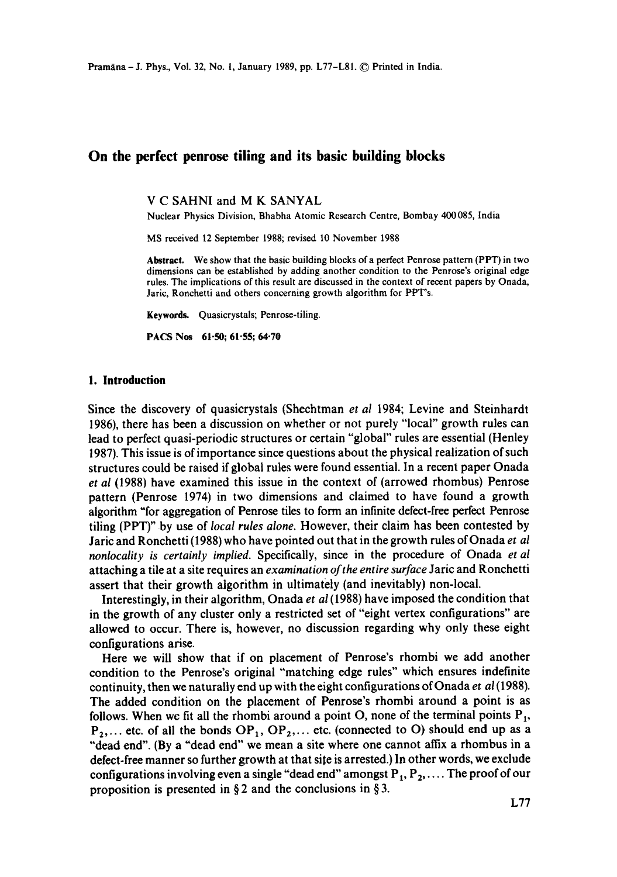# **On the perfect penrose tiling and its basic building blocks**

V C SAHNI and M K SANYAL

Nuclear Physics Division, Bhabha Atomic Research Centre, Bombay 400085, India

MS received 12 September 1988; revised 10 November 1988

**Abstract.** We show that the basic building blocks of a perfect Penrose pattern (PPT) in two dimensions can be established by adding another condition to the Penrose's original edge rules. The implications of this result are discussed in the context of recent papers by Onada, Jaric, Ronchetti and others concerning growth algorithm for PPT's.

Keywords. Quasicrystals; Penrose-tiling.

PACS Nos 61.50; 61.55; 64.70

#### **1. Introduction**

Since the discovery of quasicrystals (Shechtman *et at* 1984; Levine and Steinhardt 1986), there has been a discussion on whether or not purely "local" growth rules can lead to perfect quasi-periodic structures or certain "global" rules are essential (Henley 1987). This issue is of importance since questions about the physical realization of such structures could be raised if global rules were found essential. In a recent paper Onada *et al* (1988) have examined this issue in the context of (arrowed rhombus) Penrose pattern (Penrose 1974) in two dimensions and claimed to have found a growth algorithm "for aggregation of Penrose tiles to form an infinite defect-free perfect Penrose tiling (PPT)" by use of *local rules alone.* However, their claim has been contested by Jaric and Ronchetti (1988) who have pointed out that in the growth rules of Onada *et al nonlocality is certainly implied.* Specifically, since in the procedure of Onada *et al*  attaching a tile at a site requires an *examination of the entire surface* Jaric and Ronchetti assert that their growth algorithm in ultimately (and inevitably) non-local.

Interestingly, in their algorithm, Onada *et al* (1988) have imposed the condition that in the growth of any cluster only a restricted set of "eight vertex configurations" are allowed to occur. There is, however, no discussion regarding why only these eight configurations arise.

Here we will show that if on placement of Penrose's rhombi we add another condition to the Penrose's original "matching edge rules" which ensures indefinite continuity, then we naturally end up with the eight configurations of Onada *et al* (1988). The added condition on the placement of Penrose's rhombi around a point is as follows. When we fit all the rhombi around a point O, none of the terminal points  $P_1$ ,  $P_2, \ldots$  etc. of all the bonds  $OP_1$ ,  $OP_2, \ldots$  etc. (connected to O) should end up as a "dead end". (By a "dead end" we mean a site where one cannot affix a rhombus in a defect-free manner so further growth at that site is arrested.) In other words, we exclude configurations involving even a single "dead end" amongst  $P_1, P_2, \ldots$ . The proof of our proposition is presented in § 2 and the conclusions in § 3.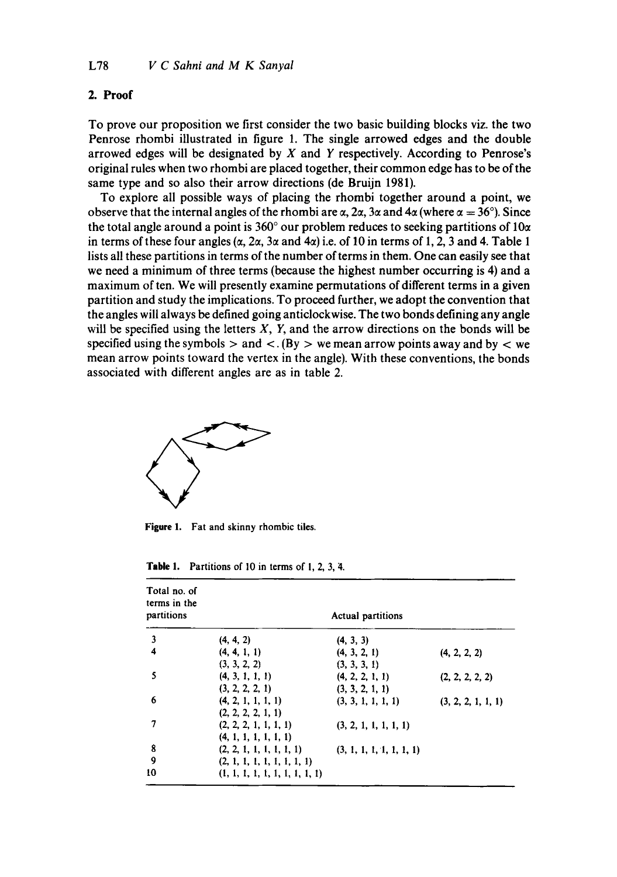## **2. Proof**

To prove our proposition we first consider the two basic building blocks viz. the two Penrose rhombi illustrated in figure 1. The single arrowed edges and the double arrowed edges will be designated by  $X$  and  $Y$  respectively. According to Penrose's original rules when two rhombi are placed together, their common edge has to be of the same type and so also their arrow directions (de Bruijn 1981).

To explore all possible ways of placing the rhombi together around a point, we observe that the internal angles of the rhombi are  $\alpha$ , 2 $\alpha$ , 3 $\alpha$  and 4 $\alpha$  (where  $\alpha = 36^{\circ}$ ). Since the total angle around a point is 360 $^{\circ}$  our problem reduces to seeking partitions of 10 $\alpha$ in terms of these four angles ( $\alpha$ ,  $2\alpha$ ,  $3\alpha$  and  $4\alpha$ ) i.e. of 10 in terms of 1, 2, 3 and 4. Table 1 lists all these partitions in terms of the number of terms in them. One can easily see that we need a minimum of three terms (because the highest number occurring is 4) and a maximum of ten. We will presently examine permutations of different terms in a given partition and study the implications. To proceed further, we adopt the convention that the angles will always be defined going anticlockwise. The two bonds defining any angle will be specified using the letters  $X$ ,  $Y$ , and the arrow directions on the bonds will be specified using the symbols  $>$  and  $\lt$ . (By  $>$  we mean arrow points away and by  $\lt$  we mean arrow points toward the vertex in the angle). With these conventions, the bonds associated with different angles are as in table 2.



**Figure** 1. Fat and skinny rhombic tiles.

| <b>Table 1.</b> Partitions of 10 in terms of 1, 2, 3, 4. |  |  |  |
|----------------------------------------------------------|--|--|--|
|----------------------------------------------------------|--|--|--|

| Total no. of<br>terms in the<br>partitions | Actual partitions                              |                                    |                    |  |
|--------------------------------------------|------------------------------------------------|------------------------------------|--------------------|--|
| $\mathbf{3}$                               | (4, 4, 2)                                      | (4, 3, 3)                          |                    |  |
| 4                                          | (4, 4, 1, 1)<br>(3, 3, 2, 2)                   | (4, 3, 2, 1)<br>(3, 3, 3, 1)       | (4, 2, 2, 2)       |  |
| 5                                          | (4, 3, 1, 1, 1)<br>(3, 2, 2, 2, 1)             | (4, 2, 2, 1, 1)<br>(3, 3, 2, 1, 1) | (2, 2, 2, 2, 2)    |  |
| 6                                          | (4, 2, 1, 1, 1, 1)<br>(2, 2, 2, 2, 1, 1)       | (3, 3, 1, 1, 1, 1)                 | (3, 2, 2, 1, 1, 1) |  |
| 7                                          | (2, 2, 2, 1, 1, 1, 1)<br>(4, 1, 1, 1, 1, 1, 1) | (3, 2, 1, 1, 1, 1, 1)              |                    |  |
| 8                                          | (2, 2, 1, 1, 1, 1, 1, 1)                       | (3, 1, 1, 1, 1, 1, 1, 1)           |                    |  |
| 9                                          | (2, 1, 1, 1, 1, 1, 1, 1, 1)                    |                                    |                    |  |
| 10                                         | (1, 1, 1, 1, 1, 1, 1, 1, 1, 1)                 |                                    |                    |  |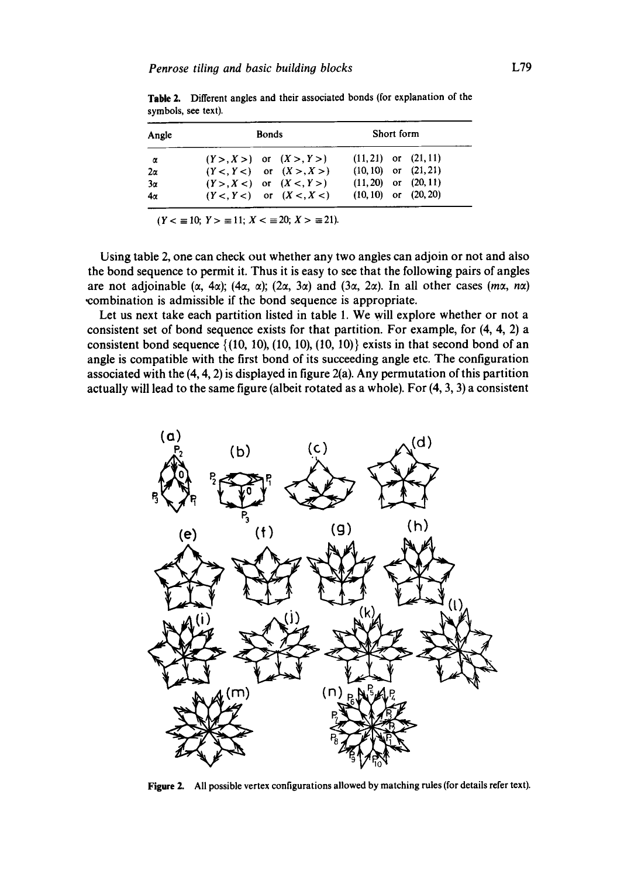| Angle<br>α | <b>Bonds</b>                 | Short form               |  |
|------------|------------------------------|--------------------------|--|
|            | $(Y > X >)$ or $(X > Y >)$   | $(11, 21)$ or $(21, 11)$ |  |
| $2\alpha$  | $(Y <, Y <)$ or $(X >, X >)$ | $(10, 10)$ or $(21, 21)$ |  |
| $3\alpha$  | $(Y > X <)$ or $(X <, Y >)$  | $(11, 20)$ or $(20, 11)$ |  |
| $4\alpha$  | $(Y <, Y <)$ or $(X <, X <)$ | $(10, 10)$ or $(20, 20)$ |  |

Table 2. Different angles and their associated bonds (for explanation of the symbols, see text).

 $(Y < \equiv 10; Y > \equiv 11; X < \equiv 20; X > \equiv 21).$ 

Using table 2, one can check out whether any two angles can adjoin or not and also the bond sequence to permit it. Thus it is easy to see that the following pairs of angles are not adjoinable  $(\alpha, 4\alpha)$ ;  $(4\alpha, \alpha)$ ;  $(2\alpha, 3\alpha)$  and  $(3\alpha, 2\alpha)$ . In all other cases  $(m\alpha, n\alpha)$ combination is admissible if the bond sequence is appropriate.

Let us next take each partition listed in table 1. We will explore whether or not a consistent set of bond sequence exists for that partition. For example, for (4, 4, 2) a consistent bond sequence  $\{(10, 10), (10, 10), (10, 10)\}$  exists in that second bond of an angle is compatible with the first bond of its succeeding angle etc. The configuration associated with the (4, 4, 2) is displayed in figure 2(a). Any permutation of this partition actually will lead to the same figure (albeit rotated as a whole). For (4, 3, 3) a consistent



**Figure** 2. All possible vertex configurations allowed by matching rules (for details refer text).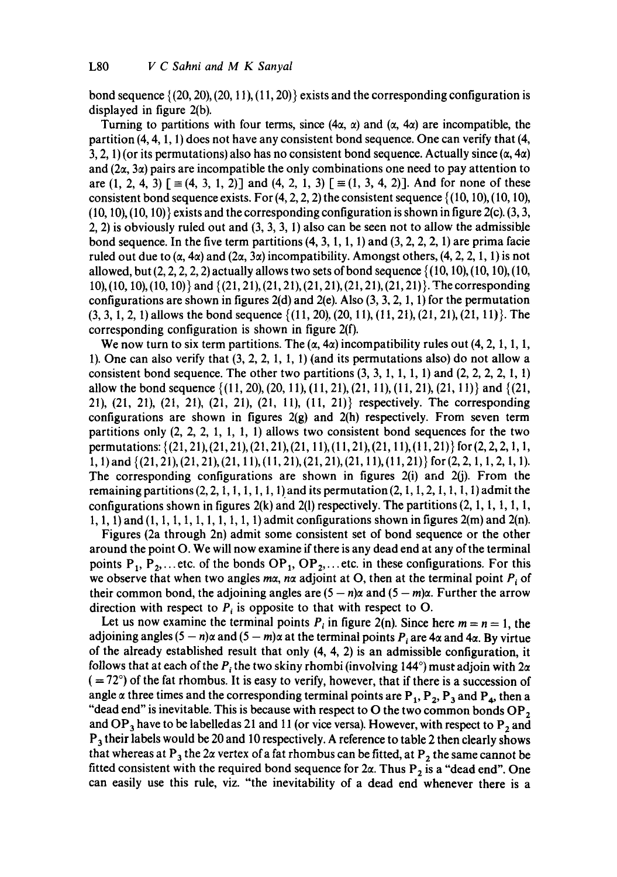bond sequence  $\{(20, 20), (20, 11), (11, 20)\}$  exists and the corresponding configuration is displayed in figure 2(b).

Turning to partitions with four terms, since  $(4\alpha, \alpha)$  and  $(\alpha, 4\alpha)$  are incompatible, the partition (4, 4, 1, 1) does not have any consistent bond sequence. One can verify that (4, 3, 2, 1) (or its permutations) also has no consistent bond sequence. Actually since  $(\alpha, 4\alpha)$ and  $(2\alpha, 3\alpha)$  pairs are incompatible the only combinations one need to pay attention to are  $(1, 2, 4, 3)$   $\lbrack \equiv (4, 3, 1, 2) \rbrack$  and  $(4, 2, 1, 3)$   $\lbrack \equiv (1, 3, 4, 2) \rbrack$ . And for none of these consistent bond sequence exists. For  $(4, 2, 2, 2)$  the consistent sequence  $\{(10, 10), (10, 10),$  $(10, 10)$ ,  $(10, 10)$  exists and the corresponding configuration is shown in figure 2(c).  $(3, 3)$ 2, 2) is obviously ruled out and  $(3, 3, 3, 1)$  also can be seen not to allow the admissible bond sequence. In the five term partitions  $(4, 3, 1, 1, 1)$  and  $(3, 2, 2, 2, 1)$  are prima facie ruled out due to  $(\alpha, 4\alpha)$  and  $(2\alpha, 3\alpha)$  incompatibility. Amongst others,  $(4, 2, 2, 1, 1)$  is not allowed, but  $(2, 2, 2, 2, 2)$  actually allows two sets of bond sequence  $\{(10, 10), (10, 10), (10,$ 10), (10, 10), (10, I0)} and { (21, 21), (21, 21), (21, 21), (21, 21), (21, 21)}. The corresponding configurations are shown in figures  $2(d)$  and  $2(e)$ . Also  $(3, 3, 2, 1, 1)$  for the permutation  $(3, 3, 1, 2, 1)$  allows the bond sequence  $\{(11, 20), (20, 11), (11, 21), (21, 21), (21, 11)\}$ . The corresponding configuration is shown in figure 2(f).

We now turn to six term partitions. The  $(\alpha, 4\alpha)$  incompatibility rules out (4, 2, 1, 1, 1, 1). One can also verify that  $(3, 2, 2, 1, 1, 1)$  (and its permutations also) do not allow a consistent bond sequence. The other two partitions  $(3, 3, 1, 1, 1, 1)$  and  $(2, 2, 2, 1, 1)$ allow the bond sequence  $\{(11, 20), (20, 11), (11, 21), (21, 11), (11, 21), (21, 11)\}$  and  $\{(21, 11), (21, 11), (21, 11)\}$ 21), (21, 21), (21, 21), (21, 21), (21, 11), (11, 21)} respectively. The corresponding configurations are shown in figures  $2(g)$  and  $2(h)$  respectively. From seven term partitions only  $(2, 2, 2, 1, 1, 1, 1)$  allows two consistent bond sequences for the two permutations: {(21, 21), (21,21), (21, 21), (21, 11), (11, 21), (21, 11), (11,21)} for (2, 2, 2, 1, 1, 1, 1) and {(21, 21), (21, 21), (21, 11), (1 I, 21), (21, 21), (21, 11), (11, 21)} for (2, 2, 1, 1, 2, 1, 1). The corresponding configurations are shown in figures 2(i) and 2(j). From the remaining partitions  $(2, 2, 1, 1, 1, 1, 1, 1)$  and its permutation  $(2, 1, 1, 2, 1, 1, 1, 1)$  admit the configurations shown in figures 2(k) and 2(l) respectively. The partitions  $(2, 1, 1, 1, 1, 1, 1)$ 1, 1, 1) and (1, 1, 1, 1, 1, 1, 1, 1, 1, 1) admit configurations shown in figures 2(m) and 2(n).

Figures (2a through 2n) admit some consistent set of bond sequence or the other around the point O. We will now examine if there is any dead end at any of the terminal points  $P_1$ ,  $P_2$ ,... etc. of the bonds  $OP_1$ ,  $OP_2$ ,... etc. in these configurations. For this we observe that when two angles  $m\alpha$ , n $\alpha$  adjoint at O, then at the terminal point  $P_i$  of their common bond, the adjoining angles are  $(5 - n)\alpha$  and  $(5 - m)\alpha$ . Further the arrow direction with respect to  $P_i$  is opposite to that with respect to O.

Let us now examine the terminal points  $P_i$  in figure 2(n). Since here  $m = n = 1$ , the adjoining angles  $(5 - n)\alpha$  and  $(5 - m)\alpha$  at the terminal points  $P_i$  are 4 $\alpha$  and 4 $\alpha$ . By virtue of the already established result that only (4, 4, 2) is an admissible configuration, it follows that at each of the  $P_i$  the two skiny rhombi (involving 144 $\degree$ ) must adjoin with  $2\alpha$  $( = 72^{\circ})$  of the fat rhombus. It is easy to verify, however, that if there is a succession of angle  $\alpha$  three times and the corresponding terminal points are P<sub>1</sub>, P<sub>2</sub>, P<sub>3</sub> and P<sub>4</sub>, then a "dead end" is inevitable. This is because with respect to O the two common bonds  $OP_2$ and OP<sub>3</sub> have to be labelled as 21 and 11 (or vice versa). However, with respect to P<sub>2</sub> and  $P_3$  their labels would be 20 and 10 respectively. A reference to table 2 then clearly shows that whereas at P<sub>3</sub> the 2 $\alpha$  vertex of a fat rhombus can be fitted, at P<sub>2</sub> the same cannot be fitted consistent with the required bond sequence for  $2\alpha$ . Thus P<sub>2</sub> is a "dead end". One can easily use this rule, viz. "the inevitability of a dead end whenever there is a